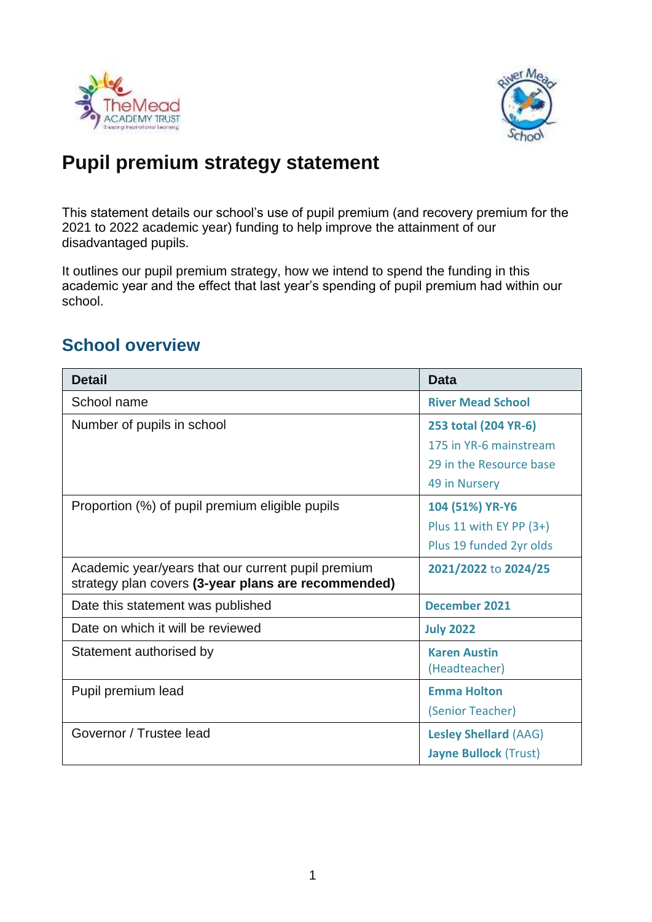



# **Pupil premium strategy statement**

This statement details our school's use of pupil premium (and recovery premium for the 2021 to 2022 academic year) funding to help improve the attainment of our disadvantaged pupils.

It outlines our pupil premium strategy, how we intend to spend the funding in this academic year and the effect that last year's spending of pupil premium had within our school.

## **School overview**

| <b>Detail</b>                                                                                             | <b>Data</b>                  |
|-----------------------------------------------------------------------------------------------------------|------------------------------|
| School name                                                                                               | <b>River Mead School</b>     |
| Number of pupils in school                                                                                | 253 total (204 YR-6)         |
|                                                                                                           | 175 in YR-6 mainstream       |
|                                                                                                           | 29 in the Resource base      |
|                                                                                                           | 49 in Nursery                |
| Proportion (%) of pupil premium eligible pupils                                                           | 104 (51%) YR-Y6              |
|                                                                                                           | Plus 11 with EY PP $(3+)$    |
|                                                                                                           | Plus 19 funded 2yr olds      |
| Academic year/years that our current pupil premium<br>strategy plan covers (3-year plans are recommended) | 2021/2022 to 2024/25         |
| Date this statement was published                                                                         | <b>December 2021</b>         |
| Date on which it will be reviewed                                                                         | <b>July 2022</b>             |
| Statement authorised by                                                                                   | <b>Karen Austin</b>          |
|                                                                                                           | (Headteacher)                |
| Pupil premium lead                                                                                        | <b>Emma Holton</b>           |
|                                                                                                           | (Senior Teacher)             |
| Governor / Trustee lead                                                                                   | <b>Lesley Shellard (AAG)</b> |
|                                                                                                           | <b>Jayne Bullock (Trust)</b> |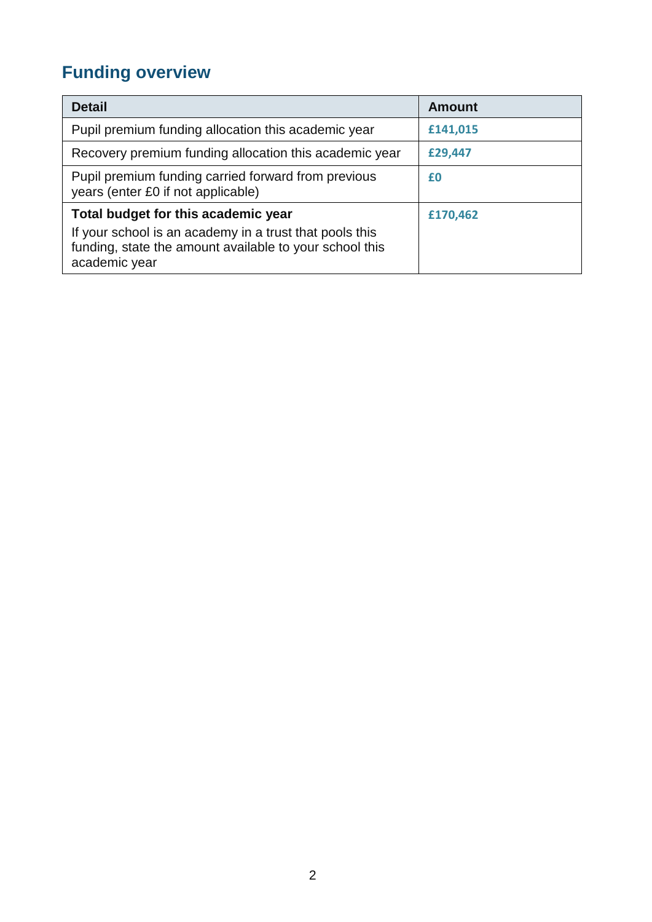# **Funding overview**

| <b>Detail</b>                                                                                                                                                              | <b>Amount</b> |
|----------------------------------------------------------------------------------------------------------------------------------------------------------------------------|---------------|
| Pupil premium funding allocation this academic year                                                                                                                        | £141,015      |
| Recovery premium funding allocation this academic year                                                                                                                     | £29,447       |
| Pupil premium funding carried forward from previous<br>years (enter £0 if not applicable)                                                                                  | £0            |
| Total budget for this academic year<br>If your school is an academy in a trust that pools this<br>funding, state the amount available to your school this<br>academic year | £170,462      |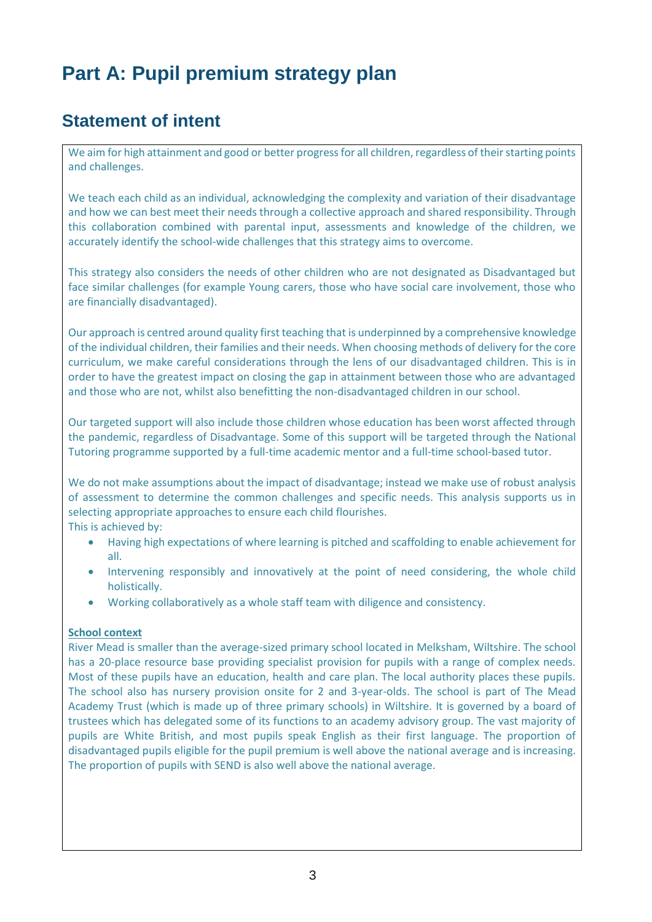# **Part A: Pupil premium strategy plan**

# **Statement of intent**

We aim for high attainment and good or better progress for all children, regardless of their starting points and challenges.

We teach each child as an individual, acknowledging the complexity and variation of their disadvantage and how we can best meet their needs through a collective approach and shared responsibility. Through this collaboration combined with parental input, assessments and knowledge of the children, we accurately identify the school-wide challenges that this strategy aims to overcome.

This strategy also considers the needs of other children who are not designated as Disadvantaged but face similar challenges (for example Young carers, those who have social care involvement, those who are financially disadvantaged).

Our approach is centred around quality first teaching that is underpinned by a comprehensive knowledge of the individual children, their families and their needs. When choosing methods of delivery for the core curriculum, we make careful considerations through the lens of our disadvantaged children. This is in order to have the greatest impact on closing the gap in attainment between those who are advantaged and those who are not, whilst also benefitting the non-disadvantaged children in our school.

Our targeted support will also include those children whose education has been worst affected through the pandemic, regardless of Disadvantage. Some of this support will be targeted through the National Tutoring programme supported by a full-time academic mentor and a full-time school-based tutor.

We do not make assumptions about the impact of disadvantage; instead we make use of robust analysis of assessment to determine the common challenges and specific needs. This analysis supports us in selecting appropriate approaches to ensure each child flourishes.

This is achieved by:

- Having high expectations of where learning is pitched and scaffolding to enable achievement for all.
- Intervening responsibly and innovatively at the point of need considering, the whole child holistically.
- Working collaboratively as a whole staff team with diligence and consistency.

#### **School context**

River Mead is smaller than the average-sized primary school located in Melksham, Wiltshire. The school has a 20-place resource base providing specialist provision for pupils with a range of complex needs. Most of these pupils have an education, health and care plan. The local authority places these pupils. The school also has nursery provision onsite for 2 and 3-year-olds. The school is part of The Mead Academy Trust (which is made up of three primary schools) in Wiltshire. It is governed by a board of trustees which has delegated some of its functions to an academy advisory group. The vast majority of pupils are White British, and most pupils speak English as their first language. The proportion of disadvantaged pupils eligible for the pupil premium is well above the national average and is increasing. The proportion of pupils with SEND is also well above the national average.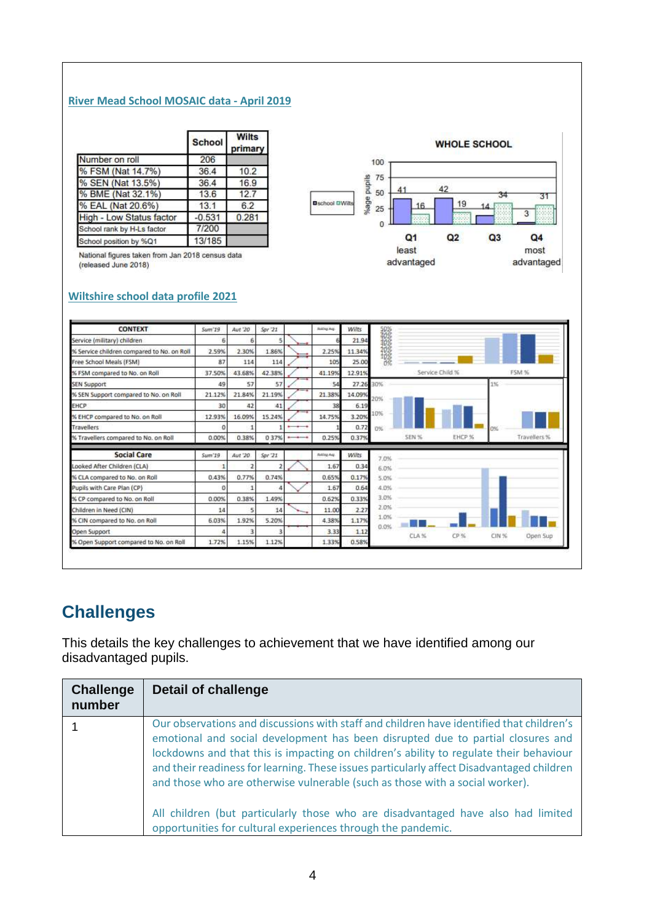#### **River Mead School MOSAIC data - April 2019**

|                                 | <b>School</b> | <b>Wilts</b><br>primary |
|---------------------------------|---------------|-------------------------|
| Number on roll                  | 206           |                         |
| % FSM (Nat 14.7%)               | 36.4          | 10.2                    |
| % SEN (Nat 13.5%)               | 36.4          | 16.9                    |
| % BME (Nat 32.1%)               | 13.6          | 12.7                    |
| % EAL (Nat 20.6%)               | 13.1          | 6.2                     |
| <b>High - Low Status factor</b> | $-0.531$      | 0.281                   |
| School rank by H-Ls factor      | 7/200         |                         |
| School position by %Q1          | 13/185        |                         |

National figures taken from Jan 2018 census data (released June 2018)



#### **Wiltshire school data profile 2021**

| <b>CONTEXT</b>                             | Sum '19 | Aut '20 | Spr 21 |     | <b>Robing Aug.</b> | Wilts  |           |                            |                   |
|--------------------------------------------|---------|---------|--------|-----|--------------------|--------|-----------|----------------------------|-------------------|
| Service (military) children                | 6       | 6       |        |     |                    | 21.94  |           |                            |                   |
| % Service children compared to No. on Roll | 2.59%   | 2.30%   | 1.86%  |     | 2.25%              | 11.34% |           |                            |                   |
| Free School Meals (FSM)                    | 87      | 114     | 114    |     | 105                | 25.00  |           |                            |                   |
| % FSM compared to No. on Roll              | 37.50%  | 43.68%  | 42.38% |     | 41.19%             | 12.91% |           | Service Child %            | FSM %             |
| <b>SEN Support</b>                         | 49      | 57      | 57     |     | 54                 | 27.26  | 30%       |                            | 1%                |
| % SEN Support compared to No. on Roll      | 21.12%  | 21.84%  | 21.19% |     | 21.38%             | 14.09% | 20%       |                            |                   |
| <b>EHCP</b>                                | 30      | 42      | 41     |     | 38                 | 6.19   |           |                            |                   |
| % EHCP compared to No. on Roll             | 12.93%  | 16.09%  | 15.24% |     | 14.75%             | 3.20%  | 10%       |                            |                   |
| <b>Travellers</b>                          | o       | 1       |        | $-$ |                    | 0.72   | <b>D%</b> |                            |                   |
| % Travellers compared to No. on Roll       | 0.00%   | 0.38%   | 037%   |     | 0.25%              | 0.37%  |           | SEN <sub>%</sub><br>EHCP % | Travellers %      |
| <b>Social Care</b>                         | Sum'19  | Aut '20 | Spr21  |     | Rolling Avg.       | Wilts  | 7.0%      |                            |                   |
| Looked After Children (CLA)                |         | 2       |        |     | 1.67               | 0.34   | 6.0%      |                            |                   |
| % CLA compared to No. on Roll              | 0.43%   | 0.77%   | 0.74%  |     | 0.65%              | 0.17%  | 5.0%      |                            |                   |
| Pupils with Care Plan (CP)                 | ø       | 1       |        |     | 1.67               | 0.64   | 4.0%      |                            |                   |
| % CP compared to No. on Roll               | 0.00%   | 0.38%   | 1.49%  |     | 0.62%              | 0.33%  | 3.0%      |                            |                   |
| Children in Need (CIN)                     | 14      | 5       | 14     |     | 11.00              | 2.27   | 2.0%      |                            |                   |
| % CIN compared to No. on Roll              | 6.03%   | 1.92%   | 5.20%  |     | 4.38%              | 1.17%  | 1.0%      |                            |                   |
| Open Support                               |         | з       |        |     | 3.33               | 1.12   | 0.0%      | CLA <sub>56</sub><br>CP %  | CIN %<br>Open Sup |
| % Open Support compared to No. on Roll     | 1.72%   | 1.15%   | 1.12%  |     | 1.33%              | 0.58%  |           |                            |                   |

# **Challenges**

This details the key challenges to achievement that we have identified among our disadvantaged pupils.

| <b>Challenge</b><br>number | Detail of challenge                                                                                                                                                                                                                                                                                                                                                                                                                                                                                                                                                                                    |
|----------------------------|--------------------------------------------------------------------------------------------------------------------------------------------------------------------------------------------------------------------------------------------------------------------------------------------------------------------------------------------------------------------------------------------------------------------------------------------------------------------------------------------------------------------------------------------------------------------------------------------------------|
|                            | Our observations and discussions with staff and children have identified that children's<br>emotional and social development has been disrupted due to partial closures and<br>lockdowns and that this is impacting on children's ability to regulate their behaviour<br>and their readiness for learning. These issues particularly affect Disadvantaged children<br>and those who are otherwise vulnerable (such as those with a social worker).<br>All children (but particularly those who are disadvantaged have also had limited<br>opportunities for cultural experiences through the pandemic. |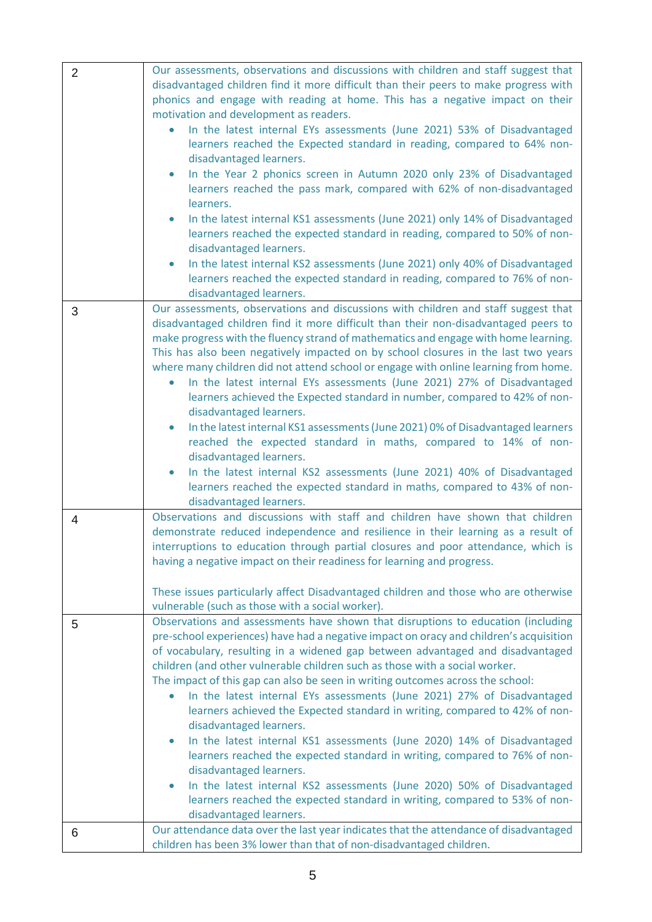| $\overline{2}$ | Our assessments, observations and discussions with children and staff suggest that<br>disadvantaged children find it more difficult than their peers to make progress with<br>phonics and engage with reading at home. This has a negative impact on their<br>motivation and development as readers.<br>In the latest internal EYs assessments (June 2021) 53% of Disadvantaged<br>learners reached the Expected standard in reading, compared to 64% non-<br>disadvantaged learners.<br>In the Year 2 phonics screen in Autumn 2020 only 23% of Disadvantaged<br>$\bullet$<br>learners reached the pass mark, compared with 62% of non-disadvantaged<br>learners.<br>In the latest internal KS1 assessments (June 2021) only 14% of Disadvantaged<br>$\bullet$<br>learners reached the expected standard in reading, compared to 50% of non-<br>disadvantaged learners.<br>In the latest internal KS2 assessments (June 2021) only 40% of Disadvantaged<br>$\bullet$                                                |
|----------------|----------------------------------------------------------------------------------------------------------------------------------------------------------------------------------------------------------------------------------------------------------------------------------------------------------------------------------------------------------------------------------------------------------------------------------------------------------------------------------------------------------------------------------------------------------------------------------------------------------------------------------------------------------------------------------------------------------------------------------------------------------------------------------------------------------------------------------------------------------------------------------------------------------------------------------------------------------------------------------------------------------------------|
|                | learners reached the expected standard in reading, compared to 76% of non-<br>disadvantaged learners.                                                                                                                                                                                                                                                                                                                                                                                                                                                                                                                                                                                                                                                                                                                                                                                                                                                                                                                |
| 3              | Our assessments, observations and discussions with children and staff suggest that<br>disadvantaged children find it more difficult than their non-disadvantaged peers to<br>make progress with the fluency strand of mathematics and engage with home learning.<br>This has also been negatively impacted on by school closures in the last two years<br>where many children did not attend school or engage with online learning from home.<br>In the latest internal EYs assessments (June 2021) 27% of Disadvantaged<br>learners achieved the Expected standard in number, compared to 42% of non-<br>disadvantaged learners.<br>In the latest internal KS1 assessments (June 2021) 0% of Disadvantaged learners<br>$\bullet$<br>reached the expected standard in maths, compared to 14% of non-<br>disadvantaged learners.<br>In the latest internal KS2 assessments (June 2021) 40% of Disadvantaged<br>$\bullet$<br>learners reached the expected standard in maths, compared to 43% of non-                  |
| 4              | disadvantaged learners.<br>Observations and discussions with staff and children have shown that children<br>demonstrate reduced independence and resilience in their learning as a result of<br>interruptions to education through partial closures and poor attendance, which is<br>having a negative impact on their readiness for learning and progress.                                                                                                                                                                                                                                                                                                                                                                                                                                                                                                                                                                                                                                                          |
|                | These issues particularly affect Disadvantaged children and those who are otherwise<br>vulnerable (such as those with a social worker).                                                                                                                                                                                                                                                                                                                                                                                                                                                                                                                                                                                                                                                                                                                                                                                                                                                                              |
| 5              | Observations and assessments have shown that disruptions to education (including<br>pre-school experiences) have had a negative impact on oracy and children's acquisition<br>of vocabulary, resulting in a widened gap between advantaged and disadvantaged<br>children (and other vulnerable children such as those with a social worker.<br>The impact of this gap can also be seen in writing outcomes across the school:<br>In the latest internal EYs assessments (June 2021) 27% of Disadvantaged<br>learners achieved the Expected standard in writing, compared to 42% of non-<br>disadvantaged learners.<br>In the latest internal KS1 assessments (June 2020) 14% of Disadvantaged<br>$\bullet$<br>learners reached the expected standard in writing, compared to 76% of non-<br>disadvantaged learners.<br>In the latest internal KS2 assessments (June 2020) 50% of Disadvantaged<br>$\bullet$<br>learners reached the expected standard in writing, compared to 53% of non-<br>disadvantaged learners. |
| 6              | Our attendance data over the last year indicates that the attendance of disadvantaged<br>children has been 3% lower than that of non-disadvantaged children.                                                                                                                                                                                                                                                                                                                                                                                                                                                                                                                                                                                                                                                                                                                                                                                                                                                         |
|                |                                                                                                                                                                                                                                                                                                                                                                                                                                                                                                                                                                                                                                                                                                                                                                                                                                                                                                                                                                                                                      |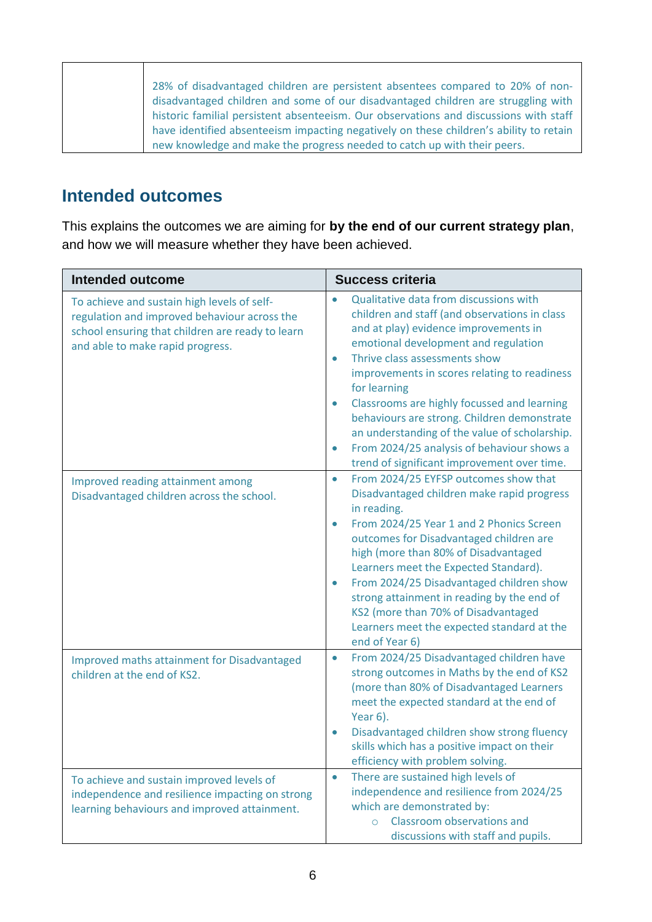| 28% of disadvantaged children are persistent absentees compared to 20% of non-         |
|----------------------------------------------------------------------------------------|
|                                                                                        |
| disadvantaged children and some of our disadvantaged children are struggling with      |
|                                                                                        |
|                                                                                        |
| historic familial persistent absenteeism. Our observations and discussions with staff  |
|                                                                                        |
| have identified absenteeism impacting negatively on these children's ability to retain |
|                                                                                        |
| new knowledge and make the progress needed to catch up with their peers.               |
|                                                                                        |

### **Intended outcomes**

This explains the outcomes we are aiming for **by the end of our current strategy plan**, and how we will measure whether they have been achieved.

| <b>Intended outcome</b>                                                                                                                                                             | <b>Success criteria</b>                                                                                                                                                                                                                                                                                                                                                                                                                                                                                                                                           |
|-------------------------------------------------------------------------------------------------------------------------------------------------------------------------------------|-------------------------------------------------------------------------------------------------------------------------------------------------------------------------------------------------------------------------------------------------------------------------------------------------------------------------------------------------------------------------------------------------------------------------------------------------------------------------------------------------------------------------------------------------------------------|
| To achieve and sustain high levels of self-<br>regulation and improved behaviour across the<br>school ensuring that children are ready to learn<br>and able to make rapid progress. | Qualitative data from discussions with<br>$\bullet$<br>children and staff (and observations in class<br>and at play) evidence improvements in<br>emotional development and regulation<br>Thrive class assessments show<br>$\bullet$<br>improvements in scores relating to readiness<br>for learning<br>Classrooms are highly focussed and learning<br>$\bullet$<br>behaviours are strong. Children demonstrate<br>an understanding of the value of scholarship.<br>From 2024/25 analysis of behaviour shows a<br>٠<br>trend of significant improvement over time. |
| Improved reading attainment among<br>Disadvantaged children across the school.                                                                                                      | From 2024/25 EYFSP outcomes show that<br>$\bullet$<br>Disadvantaged children make rapid progress<br>in reading.<br>From 2024/25 Year 1 and 2 Phonics Screen<br>۰<br>outcomes for Disadvantaged children are<br>high (more than 80% of Disadvantaged<br>Learners meet the Expected Standard).<br>From 2024/25 Disadvantaged children show<br>٠<br>strong attainment in reading by the end of<br>KS2 (more than 70% of Disadvantaged<br>Learners meet the expected standard at the<br>end of Year 6)                                                                |
| Improved maths attainment for Disadvantaged<br>children at the end of KS2.                                                                                                          | From 2024/25 Disadvantaged children have<br>$\bullet$<br>strong outcomes in Maths by the end of KS2<br>(more than 80% of Disadvantaged Learners<br>meet the expected standard at the end of<br>Year 6).<br>Disadvantaged children show strong fluency<br>skills which has a positive impact on their<br>efficiency with problem solving.                                                                                                                                                                                                                          |
| To achieve and sustain improved levels of<br>independence and resilience impacting on strong<br>learning behaviours and improved attainment.                                        | There are sustained high levels of<br>٠<br>independence and resilience from 2024/25<br>which are demonstrated by:<br>Classroom observations and<br>$\circ$<br>discussions with staff and pupils.                                                                                                                                                                                                                                                                                                                                                                  |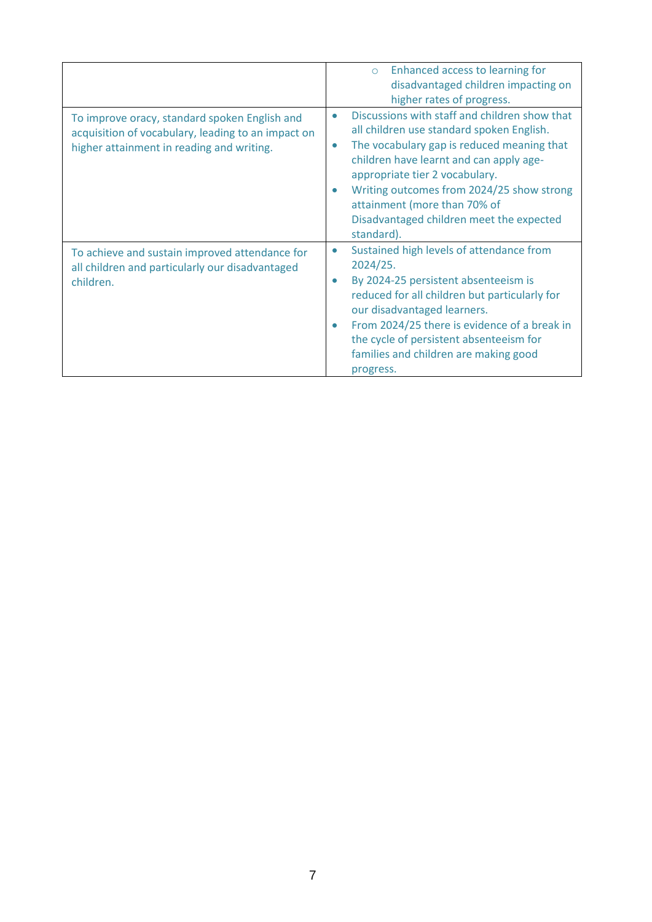|                                                                                                                                                  | Enhanced access to learning for<br>$\circ$<br>disadvantaged children impacting on<br>higher rates of progress.                                                                                                                                                                                                                                                         |
|--------------------------------------------------------------------------------------------------------------------------------------------------|------------------------------------------------------------------------------------------------------------------------------------------------------------------------------------------------------------------------------------------------------------------------------------------------------------------------------------------------------------------------|
| To improve oracy, standard spoken English and<br>acquisition of vocabulary, leading to an impact on<br>higher attainment in reading and writing. | Discussions with staff and children show that<br>٠<br>all children use standard spoken English.<br>The vocabulary gap is reduced meaning that<br>٠<br>children have learnt and can apply age-<br>appropriate tier 2 vocabulary.<br>Writing outcomes from 2024/25 show strong<br>attainment (more than 70% of<br>Disadvantaged children meet the expected<br>standard). |
| To achieve and sustain improved attendance for<br>all children and particularly our disadvantaged<br>children.                                   | Sustained high levels of attendance from<br>٠<br>2024/25.<br>By 2024-25 persistent absenteeism is<br>reduced for all children but particularly for<br>our disadvantaged learners.<br>From 2024/25 there is evidence of a break in<br>the cycle of persistent absenteeism for<br>families and children are making good<br>progress.                                     |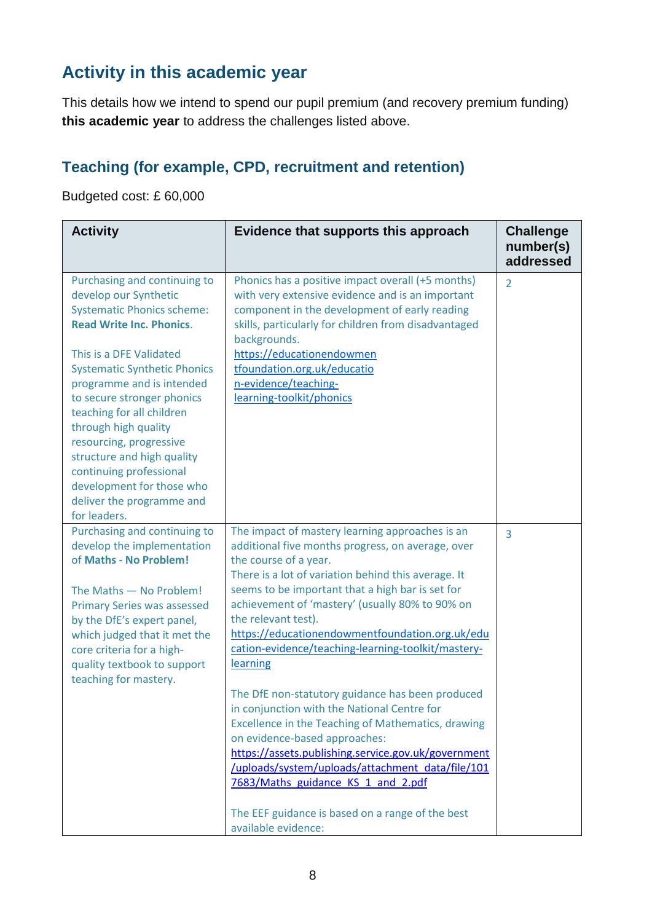# **Activity in this academic year**

This details how we intend to spend our pupil premium (and recovery premium funding) **this academic year** to address the challenges listed above.

## **Teaching (for example, CPD, recruitment and retention)**

Budgeted cost: £ 60,000

| <b>Activity</b>                                                                                                                                                                                                                                                                                                                                                                                                                                                               | Evidence that supports this approach                                                                                                                                                                                                                                                                                                                                                                                                                                                                                                                                                                                                                                                                                                                                                                                                                          | <b>Challenge</b><br>number(s)<br>addressed |
|-------------------------------------------------------------------------------------------------------------------------------------------------------------------------------------------------------------------------------------------------------------------------------------------------------------------------------------------------------------------------------------------------------------------------------------------------------------------------------|---------------------------------------------------------------------------------------------------------------------------------------------------------------------------------------------------------------------------------------------------------------------------------------------------------------------------------------------------------------------------------------------------------------------------------------------------------------------------------------------------------------------------------------------------------------------------------------------------------------------------------------------------------------------------------------------------------------------------------------------------------------------------------------------------------------------------------------------------------------|--------------------------------------------|
| Purchasing and continuing to<br>develop our Synthetic<br><b>Systematic Phonics scheme:</b><br><b>Read Write Inc. Phonics.</b><br>This is a DFE Validated<br><b>Systematic Synthetic Phonics</b><br>programme and is intended<br>to secure stronger phonics<br>teaching for all children<br>through high quality<br>resourcing, progressive<br>structure and high quality<br>continuing professional<br>development for those who<br>deliver the programme and<br>for leaders. | Phonics has a positive impact overall (+5 months)<br>with very extensive evidence and is an important<br>component in the development of early reading<br>skills, particularly for children from disadvantaged<br>backgrounds.<br>https://educationendowmen<br>tfoundation.org.uk/educatio<br>n-evidence/teaching-<br>learning-toolkit/phonics                                                                                                                                                                                                                                                                                                                                                                                                                                                                                                                | 2                                          |
| Purchasing and continuing to<br>develop the implementation<br>of Maths - No Problem!<br>The Maths - No Problem!<br><b>Primary Series was assessed</b><br>by the DfE's expert panel,<br>which judged that it met the<br>core criteria for a high-<br>quality textbook to support<br>teaching for mastery.                                                                                                                                                                      | The impact of mastery learning approaches is an<br>additional five months progress, on average, over<br>the course of a year.<br>There is a lot of variation behind this average. It<br>seems to be important that a high bar is set for<br>achievement of 'mastery' (usually 80% to 90% on<br>the relevant test).<br>https://educationendowmentfoundation.org.uk/edu<br>cation-evidence/teaching-learning-toolkit/mastery-<br>learning<br>The DfE non-statutory guidance has been produced<br>in conjunction with the National Centre for<br>Excellence in the Teaching of Mathematics, drawing<br>on evidence-based approaches:<br>https://assets.publishing.service.gov.uk/government<br>/uploads/system/uploads/attachment_data/file/101<br>7683/Maths guidance KS 1 and 2.pdf<br>The EEF guidance is based on a range of the best<br>available evidence: | 3                                          |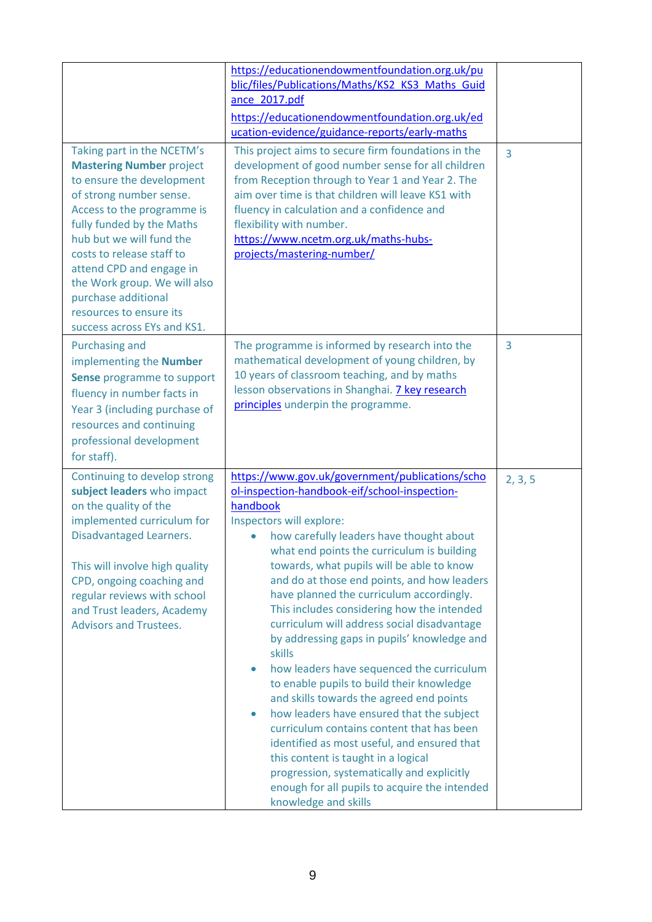| Taking part in the NCETM's<br><b>Mastering Number project</b><br>to ensure the development<br>of strong number sense.<br>Access to the programme is<br>fully funded by the Maths<br>hub but we will fund the<br>costs to release staff to<br>attend CPD and engage in<br>the Work group. We will also<br>purchase additional<br>resources to ensure its<br>success across EYs and KS1. | https://educationendowmentfoundation.org.uk/pu<br>blic/files/Publications/Maths/KS2 KS3 Maths Guid<br>ance 2017.pdf<br>https://educationendowmentfoundation.org.uk/ed<br>ucation-evidence/guidance-reports/early-maths<br>This project aims to secure firm foundations in the<br>development of good number sense for all children<br>from Reception through to Year 1 and Year 2. The<br>aim over time is that children will leave KS1 with<br>fluency in calculation and a confidence and<br>flexibility with number.<br>https://www.ncetm.org.uk/maths-hubs-<br>projects/mastering-number/                                                                                                                                                                                                                                                                                                                                                                                                           | $\overline{3}$ |
|----------------------------------------------------------------------------------------------------------------------------------------------------------------------------------------------------------------------------------------------------------------------------------------------------------------------------------------------------------------------------------------|---------------------------------------------------------------------------------------------------------------------------------------------------------------------------------------------------------------------------------------------------------------------------------------------------------------------------------------------------------------------------------------------------------------------------------------------------------------------------------------------------------------------------------------------------------------------------------------------------------------------------------------------------------------------------------------------------------------------------------------------------------------------------------------------------------------------------------------------------------------------------------------------------------------------------------------------------------------------------------------------------------|----------------|
| <b>Purchasing and</b><br>implementing the Number<br>Sense programme to support<br>fluency in number facts in<br>Year 3 (including purchase of<br>resources and continuing<br>professional development<br>for staff).                                                                                                                                                                   | The programme is informed by research into the<br>mathematical development of young children, by<br>10 years of classroom teaching, and by maths<br>lesson observations in Shanghai. 7 key research<br>principles underpin the programme.                                                                                                                                                                                                                                                                                                                                                                                                                                                                                                                                                                                                                                                                                                                                                               | 3              |
| Continuing to develop strong<br>subject leaders who impact<br>on the quality of the<br>implemented curriculum for<br>Disadvantaged Learners.<br>This will involve high quality<br>CPD, ongoing coaching and<br>regular reviews with school<br>and Trust leaders, Academy<br><b>Advisors and Trustees.</b>                                                                              | https://www.gov.uk/government/publications/scho<br>ol-inspection-handbook-eif/school-inspection-<br>handbook<br>Inspectors will explore:<br>how carefully leaders have thought about<br>what end points the curriculum is building<br>towards, what pupils will be able to know<br>and do at those end points, and how leaders<br>have planned the curriculum accordingly.<br>This includes considering how the intended<br>curriculum will address social disadvantage<br>by addressing gaps in pupils' knowledge and<br>skills<br>how leaders have sequenced the curriculum<br>$\bullet$<br>to enable pupils to build their knowledge<br>and skills towards the agreed end points<br>how leaders have ensured that the subject<br>$\bullet$<br>curriculum contains content that has been<br>identified as most useful, and ensured that<br>this content is taught in a logical<br>progression, systematically and explicitly<br>enough for all pupils to acquire the intended<br>knowledge and skills | 2, 3, 5        |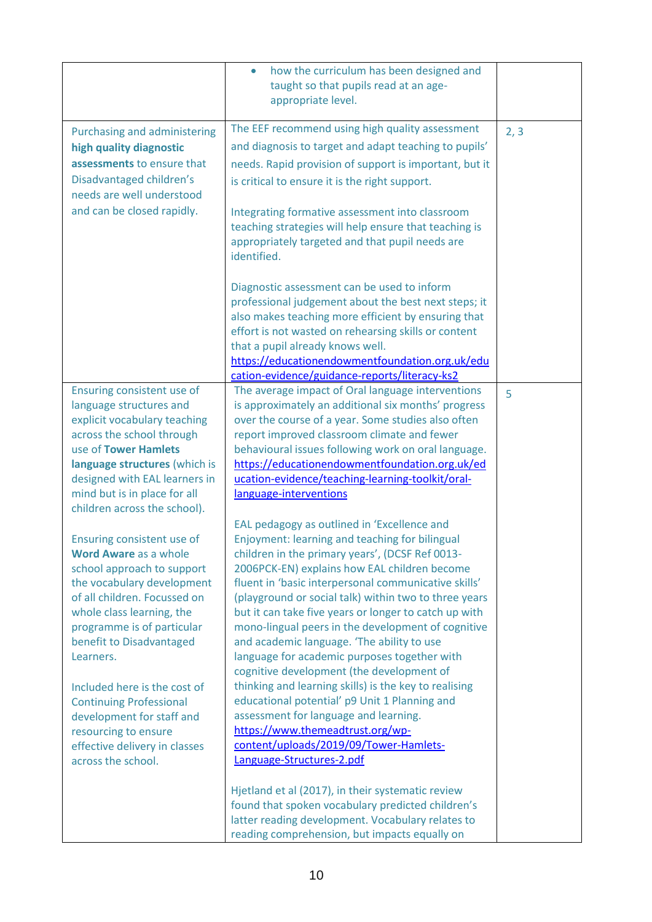|                                                                                                                                                                                                                                                                                                                                                                                                                   | how the curriculum has been designed and<br>$\bullet$<br>taught so that pupils read at an age-<br>appropriate level.                                                                                                                                                                                                                                                                                                                                                                                                                                                                                                                                                                                                                                               |      |
|-------------------------------------------------------------------------------------------------------------------------------------------------------------------------------------------------------------------------------------------------------------------------------------------------------------------------------------------------------------------------------------------------------------------|--------------------------------------------------------------------------------------------------------------------------------------------------------------------------------------------------------------------------------------------------------------------------------------------------------------------------------------------------------------------------------------------------------------------------------------------------------------------------------------------------------------------------------------------------------------------------------------------------------------------------------------------------------------------------------------------------------------------------------------------------------------------|------|
| Purchasing and administering<br>high quality diagnostic<br>assessments to ensure that<br>Disadvantaged children's<br>needs are well understood<br>and can be closed rapidly.                                                                                                                                                                                                                                      | The EEF recommend using high quality assessment<br>and diagnosis to target and adapt teaching to pupils'<br>needs. Rapid provision of support is important, but it<br>is critical to ensure it is the right support.<br>Integrating formative assessment into classroom<br>teaching strategies will help ensure that teaching is<br>appropriately targeted and that pupil needs are<br>identified.                                                                                                                                                                                                                                                                                                                                                                 | 2, 3 |
|                                                                                                                                                                                                                                                                                                                                                                                                                   | Diagnostic assessment can be used to inform<br>professional judgement about the best next steps; it<br>also makes teaching more efficient by ensuring that<br>effort is not wasted on rehearsing skills or content<br>that a pupil already knows well.<br>https://educationendowmentfoundation.org.uk/edu<br>cation-evidence/guidance-reports/literacy-ks2                                                                                                                                                                                                                                                                                                                                                                                                         |      |
| Ensuring consistent use of<br>language structures and<br>explicit vocabulary teaching<br>across the school through<br>use of Tower Hamlets<br>language structures (which is<br>designed with EAL learners in<br>mind but is in place for all                                                                                                                                                                      | The average impact of Oral language interventions<br>is approximately an additional six months' progress<br>over the course of a year. Some studies also often<br>report improved classroom climate and fewer<br>behavioural issues following work on oral language.<br>https://educationendowmentfoundation.org.uk/ed<br>ucation-evidence/teaching-learning-toolkit/oral-<br>language-interventions                                                                                                                                                                                                                                                                                                                                                               | 5    |
| children across the school).<br>Ensuring consistent use of<br><b>Word Aware</b> as a whole<br>school approach to support<br>the vocabulary development<br>of all children. Focussed on<br>whole class learning, the<br>programme is of particular<br>benefit to Disadvantaged<br>Learners.<br>Included here is the cost of<br><b>Continuing Professional</b><br>development for staff and<br>resourcing to ensure | EAL pedagogy as outlined in 'Excellence and<br>Enjoyment: learning and teaching for bilingual<br>children in the primary years', (DCSF Ref 0013-<br>2006PCK-EN) explains how EAL children become<br>fluent in 'basic interpersonal communicative skills'<br>(playground or social talk) within two to three years<br>but it can take five years or longer to catch up with<br>mono-lingual peers in the development of cognitive<br>and academic language. 'The ability to use<br>language for academic purposes together with<br>cognitive development (the development of<br>thinking and learning skills) is the key to realising<br>educational potential' p9 Unit 1 Planning and<br>assessment for language and learning.<br>https://www.themeadtrust.org/wp- |      |
| effective delivery in classes<br>across the school.                                                                                                                                                                                                                                                                                                                                                               | content/uploads/2019/09/Tower-Hamlets-<br>Language-Structures-2.pdf<br>Hjetland et al (2017), in their systematic review<br>found that spoken vocabulary predicted children's<br>latter reading development. Vocabulary relates to<br>reading comprehension, but impacts equally on                                                                                                                                                                                                                                                                                                                                                                                                                                                                                |      |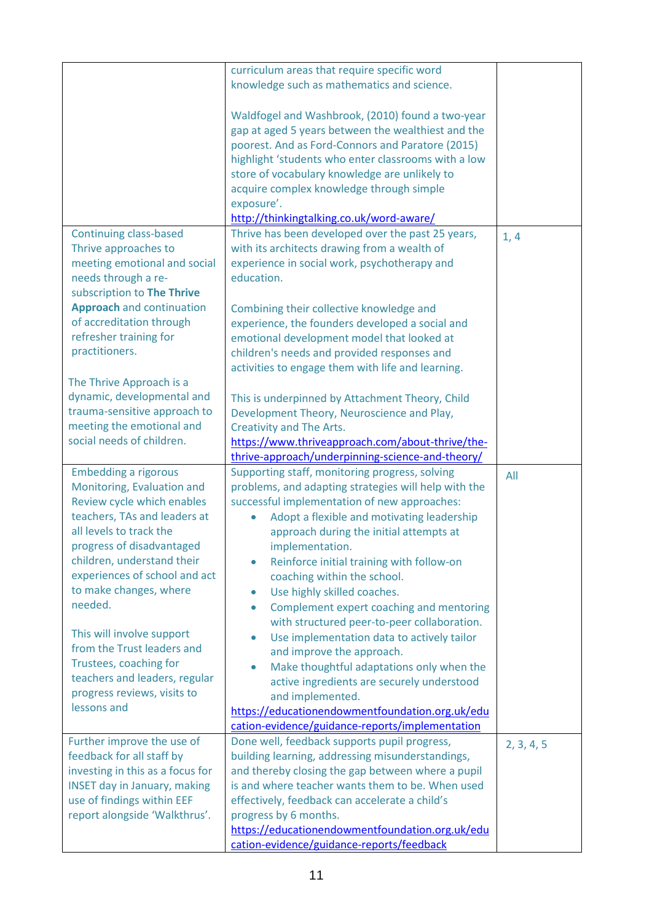|                                                                                                                                                                                                                                                                                                                                                                                                                                                         | curriculum areas that require specific word<br>knowledge such as mathematics and science.                                                                                                                                                                                                                                                                                                                                                                                                                                                                                                                                                                                                                                                                                                                 |            |
|---------------------------------------------------------------------------------------------------------------------------------------------------------------------------------------------------------------------------------------------------------------------------------------------------------------------------------------------------------------------------------------------------------------------------------------------------------|-----------------------------------------------------------------------------------------------------------------------------------------------------------------------------------------------------------------------------------------------------------------------------------------------------------------------------------------------------------------------------------------------------------------------------------------------------------------------------------------------------------------------------------------------------------------------------------------------------------------------------------------------------------------------------------------------------------------------------------------------------------------------------------------------------------|------------|
|                                                                                                                                                                                                                                                                                                                                                                                                                                                         | Waldfogel and Washbrook, (2010) found a two-year<br>gap at aged 5 years between the wealthiest and the<br>poorest. And as Ford-Connors and Paratore (2015)<br>highlight 'students who enter classrooms with a low<br>store of vocabulary knowledge are unlikely to<br>acquire complex knowledge through simple<br>exposure'.<br>http://thinkingtalking.co.uk/word-aware/                                                                                                                                                                                                                                                                                                                                                                                                                                  |            |
| <b>Continuing class-based</b>                                                                                                                                                                                                                                                                                                                                                                                                                           | Thrive has been developed over the past 25 years,                                                                                                                                                                                                                                                                                                                                                                                                                                                                                                                                                                                                                                                                                                                                                         | 1, 4       |
| Thrive approaches to<br>meeting emotional and social<br>needs through a re-<br>subscription to The Thrive                                                                                                                                                                                                                                                                                                                                               | with its architects drawing from a wealth of<br>experience in social work, psychotherapy and<br>education.                                                                                                                                                                                                                                                                                                                                                                                                                                                                                                                                                                                                                                                                                                |            |
| <b>Approach</b> and continuation<br>of accreditation through<br>refresher training for<br>practitioners.                                                                                                                                                                                                                                                                                                                                                | Combining their collective knowledge and<br>experience, the founders developed a social and<br>emotional development model that looked at<br>children's needs and provided responses and                                                                                                                                                                                                                                                                                                                                                                                                                                                                                                                                                                                                                  |            |
| The Thrive Approach is a                                                                                                                                                                                                                                                                                                                                                                                                                                | activities to engage them with life and learning.                                                                                                                                                                                                                                                                                                                                                                                                                                                                                                                                                                                                                                                                                                                                                         |            |
| dynamic, developmental and<br>trauma-sensitive approach to<br>meeting the emotional and<br>social needs of children.                                                                                                                                                                                                                                                                                                                                    | This is underpinned by Attachment Theory, Child<br>Development Theory, Neuroscience and Play,<br><b>Creativity and The Arts.</b><br>https://www.thriveapproach.com/about-thrive/the-<br>thrive-approach/underpinning-science-and-theory/                                                                                                                                                                                                                                                                                                                                                                                                                                                                                                                                                                  |            |
| <b>Embedding a rigorous</b><br>Monitoring, Evaluation and<br>Review cycle which enables<br>teachers, TAs and leaders at<br>all levels to track the<br>progress of disadvantaged<br>children, understand their<br>experiences of school and act<br>to make changes, where<br>needed.<br>This will involve support<br>from the Trust leaders and<br>Trustees, coaching for<br>teachers and leaders, regular<br>progress reviews, visits to<br>lessons and | Supporting staff, monitoring progress, solving<br>problems, and adapting strategies will help with the<br>successful implementation of new approaches:<br>Adopt a flexible and motivating leadership<br>approach during the initial attempts at<br>implementation.<br>Reinforce initial training with follow-on<br>۰<br>coaching within the school.<br>Use highly skilled coaches.<br>۰<br>Complement expert coaching and mentoring<br>۰<br>with structured peer-to-peer collaboration.<br>Use implementation data to actively tailor<br>٠<br>and improve the approach.<br>Make thoughtful adaptations only when the<br>$\bullet$<br>active ingredients are securely understood<br>and implemented.<br>https://educationendowmentfoundation.org.uk/edu<br>cation-evidence/guidance-reports/implementation | All        |
| Further improve the use of<br>feedback for all staff by<br>investing in this as a focus for<br><b>INSET day in January, making</b><br>use of findings within EEF<br>report alongside 'Walkthrus'.                                                                                                                                                                                                                                                       | Done well, feedback supports pupil progress,<br>building learning, addressing misunderstandings,<br>and thereby closing the gap between where a pupil<br>is and where teacher wants them to be. When used<br>effectively, feedback can accelerate a child's<br>progress by 6 months.<br>https://educationendowmentfoundation.org.uk/edu<br>cation-evidence/guidance-reports/feedback                                                                                                                                                                                                                                                                                                                                                                                                                      | 2, 3, 4, 5 |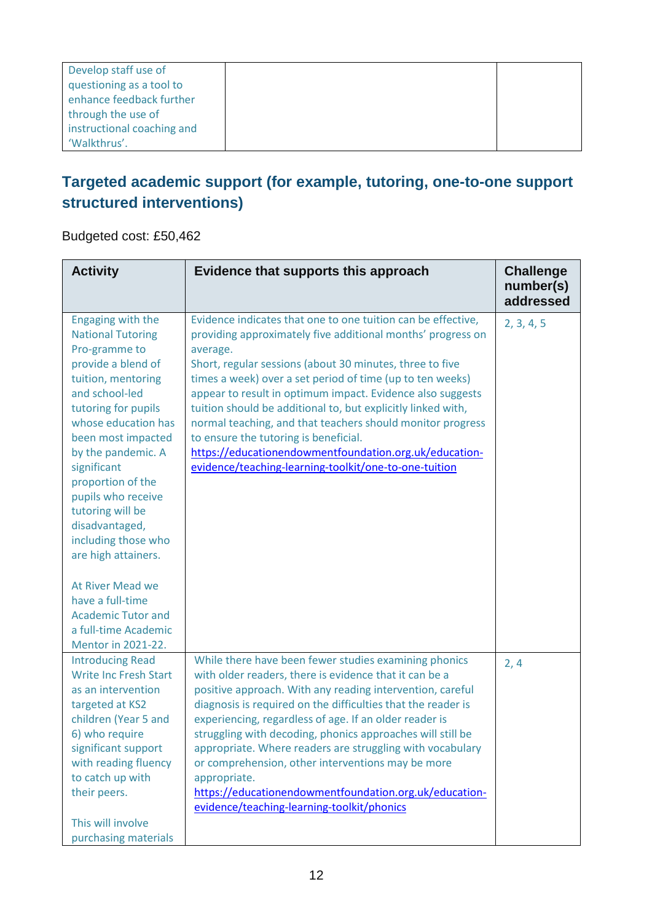| Develop staff use of       |  |
|----------------------------|--|
| questioning as a tool to   |  |
| enhance feedback further   |  |
| through the use of         |  |
| instructional coaching and |  |
| 'Walkthrus'.               |  |

### **Targeted academic support (for example, tutoring, one-to-one support structured interventions)**

Budgeted cost: £50,462

| <b>Activity</b>                                                                                                                                                                                                                                                                                                                                                      | Evidence that supports this approach                                                                                                                                                                                                                                                                                                                                                                                                                                                                                                                                                                                     | <b>Challenge</b><br>number(s)<br>addressed |
|----------------------------------------------------------------------------------------------------------------------------------------------------------------------------------------------------------------------------------------------------------------------------------------------------------------------------------------------------------------------|--------------------------------------------------------------------------------------------------------------------------------------------------------------------------------------------------------------------------------------------------------------------------------------------------------------------------------------------------------------------------------------------------------------------------------------------------------------------------------------------------------------------------------------------------------------------------------------------------------------------------|--------------------------------------------|
| Engaging with the<br><b>National Tutoring</b><br>Pro-gramme to<br>provide a blend of<br>tuition, mentoring<br>and school-led<br>tutoring for pupils<br>whose education has<br>been most impacted<br>by the pandemic. A<br>significant<br>proportion of the<br>pupils who receive<br>tutoring will be<br>disadvantaged,<br>including those who<br>are high attainers. | Evidence indicates that one to one tuition can be effective,<br>providing approximately five additional months' progress on<br>average.<br>Short, regular sessions (about 30 minutes, three to five<br>times a week) over a set period of time (up to ten weeks)<br>appear to result in optimum impact. Evidence also suggests<br>tuition should be additional to, but explicitly linked with,<br>normal teaching, and that teachers should monitor progress<br>to ensure the tutoring is beneficial.<br>https://educationendowmentfoundation.org.uk/education-<br>evidence/teaching-learning-toolkit/one-to-one-tuition | 2, 3, 4, 5                                 |
| At River Mead we<br>have a full-time<br><b>Academic Tutor and</b><br>a full-time Academic<br><b>Mentor in 2021-22.</b>                                                                                                                                                                                                                                               |                                                                                                                                                                                                                                                                                                                                                                                                                                                                                                                                                                                                                          |                                            |
| <b>Introducing Read</b><br><b>Write Inc Fresh Start</b><br>as an intervention<br>targeted at KS2<br>children (Year 5 and<br>6) who require<br>significant support<br>with reading fluency<br>to catch up with<br>their peers.<br>This will involve<br>purchasing materials                                                                                           | While there have been fewer studies examining phonics<br>with older readers, there is evidence that it can be a<br>positive approach. With any reading intervention, careful<br>diagnosis is required on the difficulties that the reader is<br>experiencing, regardless of age. If an older reader is<br>struggling with decoding, phonics approaches will still be<br>appropriate. Where readers are struggling with vocabulary<br>or comprehension, other interventions may be more<br>appropriate.<br>https://educationendowmentfoundation.org.uk/education-<br>evidence/teaching-learning-toolkit/phonics           | 2, 4                                       |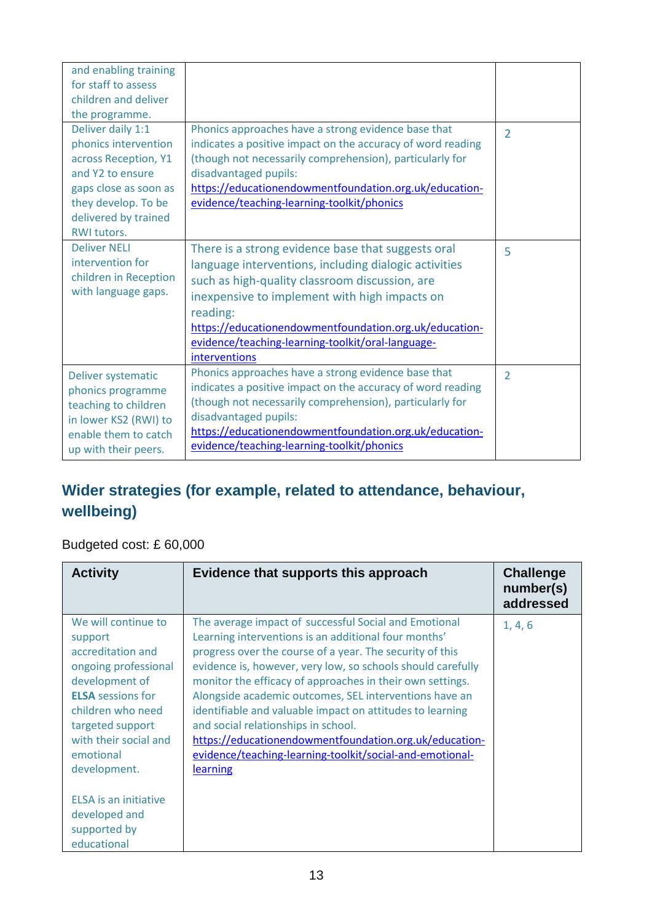| and enabling training<br>for staff to assess<br>children and deliver<br>the programme.                                                                                              |                                                                                                                                                                                                                                                                                                                                                            |                |
|-------------------------------------------------------------------------------------------------------------------------------------------------------------------------------------|------------------------------------------------------------------------------------------------------------------------------------------------------------------------------------------------------------------------------------------------------------------------------------------------------------------------------------------------------------|----------------|
| Deliver daily 1:1<br>phonics intervention<br>across Reception, Y1<br>and Y2 to ensure<br>gaps close as soon as<br>they develop. To be<br>delivered by trained<br><b>RWI tutors.</b> | Phonics approaches have a strong evidence base that<br>indicates a positive impact on the accuracy of word reading<br>(though not necessarily comprehension), particularly for<br>disadvantaged pupils:<br>https://educationendowmentfoundation.org.uk/education-<br>evidence/teaching-learning-toolkit/phonics                                            | $\overline{2}$ |
| <b>Deliver NELI</b><br>intervention for<br>children in Reception<br>with language gaps.                                                                                             | There is a strong evidence base that suggests oral<br>language interventions, including dialogic activities<br>such as high-quality classroom discussion, are<br>inexpensive to implement with high impacts on<br>reading:<br>https://educationendowmentfoundation.org.uk/education-<br>evidence/teaching-learning-toolkit/oral-language-<br>interventions | 5              |
| Deliver systematic<br>phonics programme<br>teaching to children<br>in lower KS2 (RWI) to<br>enable them to catch<br>up with their peers.                                            | Phonics approaches have a strong evidence base that<br>indicates a positive impact on the accuracy of word reading<br>(though not necessarily comprehension), particularly for<br>disadvantaged pupils:<br>https://educationendowmentfoundation.org.uk/education-<br>evidence/teaching-learning-toolkit/phonics                                            | $\overline{2}$ |

## **Wider strategies (for example, related to attendance, behaviour, wellbeing)**

Budgeted cost: £ 60,000

| <b>Activity</b>                                                                                                                                                                                                          | Evidence that supports this approach                                                                                                                                                                                                                                                                                                                                                                                                                                                                                                                                                                  | <b>Challenge</b><br>number(s)<br>addressed |
|--------------------------------------------------------------------------------------------------------------------------------------------------------------------------------------------------------------------------|-------------------------------------------------------------------------------------------------------------------------------------------------------------------------------------------------------------------------------------------------------------------------------------------------------------------------------------------------------------------------------------------------------------------------------------------------------------------------------------------------------------------------------------------------------------------------------------------------------|--------------------------------------------|
| We will continue to<br>support<br>accreditation and<br>ongoing professional<br>development of<br><b>ELSA</b> sessions for<br>children who need<br>targeted support<br>with their social and<br>emotional<br>development. | The average impact of successful Social and Emotional<br>Learning interventions is an additional four months'<br>progress over the course of a year. The security of this<br>evidence is, however, very low, so schools should carefully<br>monitor the efficacy of approaches in their own settings.<br>Alongside academic outcomes, SEL interventions have an<br>identifiable and valuable impact on attitudes to learning<br>and social relationships in school.<br>https://educationendowmentfoundation.org.uk/education-<br>evidence/teaching-learning-toolkit/social-and-emotional-<br>learning | 1, 4, 6                                    |
| ELSA is an initiative<br>developed and<br>supported by<br>educational                                                                                                                                                    |                                                                                                                                                                                                                                                                                                                                                                                                                                                                                                                                                                                                       |                                            |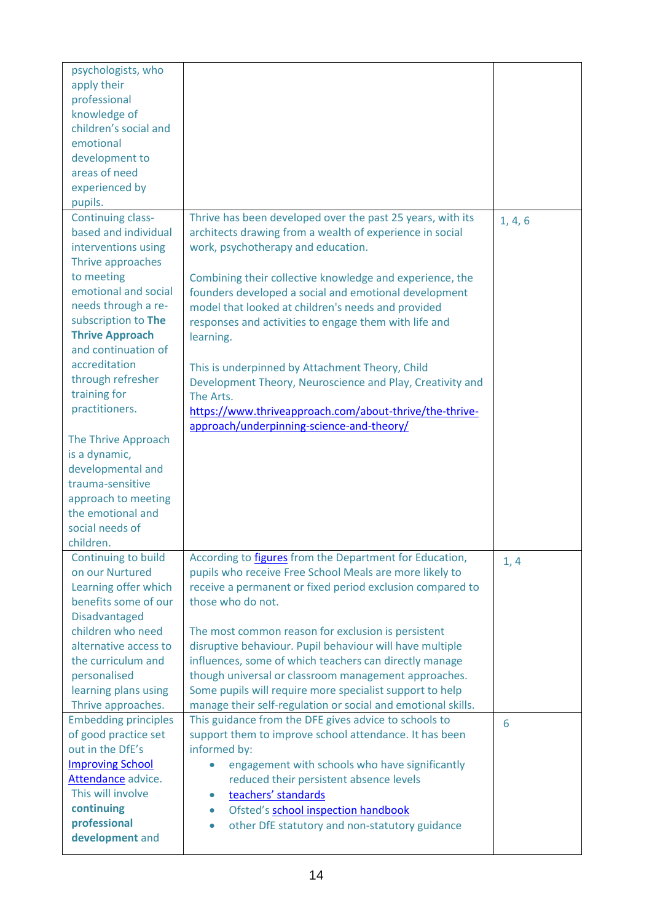| psychologists, who<br>apply their<br>professional<br>knowledge of<br>children's social and<br>emotional<br>development to<br>areas of need<br>experienced by<br>pupils.                                                                                                                                                                                                                                                                                                |                                                                                                                                                                                                                                                                                                                                                                                                                                                                                                                                                                                                                                                    |         |
|------------------------------------------------------------------------------------------------------------------------------------------------------------------------------------------------------------------------------------------------------------------------------------------------------------------------------------------------------------------------------------------------------------------------------------------------------------------------|----------------------------------------------------------------------------------------------------------------------------------------------------------------------------------------------------------------------------------------------------------------------------------------------------------------------------------------------------------------------------------------------------------------------------------------------------------------------------------------------------------------------------------------------------------------------------------------------------------------------------------------------------|---------|
| <b>Continuing class-</b><br>based and individual<br>interventions using<br>Thrive approaches<br>to meeting<br>emotional and social<br>needs through a re-<br>subscription to The<br><b>Thrive Approach</b><br>and continuation of<br>accreditation<br>through refresher<br>training for<br>practitioners.<br>The Thrive Approach<br>is a dynamic,<br>developmental and<br>trauma-sensitive<br>approach to meeting<br>the emotional and<br>social needs of<br>children. | Thrive has been developed over the past 25 years, with its<br>architects drawing from a wealth of experience in social<br>work, psychotherapy and education.<br>Combining their collective knowledge and experience, the<br>founders developed a social and emotional development<br>model that looked at children's needs and provided<br>responses and activities to engage them with life and<br>learning.<br>This is underpinned by Attachment Theory, Child<br>Development Theory, Neuroscience and Play, Creativity and<br>The Arts.<br>https://www.thriveapproach.com/about-thrive/the-thrive-<br>approach/underpinning-science-and-theory/ | 1, 4, 6 |
| Continuing to build<br>on our Nurtured<br>Learning offer which<br>benefits some of our<br><b>Disadvantaged</b><br>children who need<br>alternative access to<br>the curriculum and<br>personalised<br>learning plans using<br>Thrive approaches.                                                                                                                                                                                                                       | According to <i>figures</i> from the Department for Education,<br>pupils who receive Free School Meals are more likely to<br>receive a permanent or fixed period exclusion compared to<br>those who do not.<br>The most common reason for exclusion is persistent<br>disruptive behaviour. Pupil behaviour will have multiple<br>influences, some of which teachers can directly manage<br>though universal or classroom management approaches.<br>Some pupils will require more specialist support to help<br>manage their self-regulation or social and emotional skills.                                                                        | 1, 4    |
| <b>Embedding principles</b><br>of good practice set<br>out in the DfE's<br><b>Improving School</b><br>Attendance advice.<br>This will involve<br>continuing<br>professional<br>development and                                                                                                                                                                                                                                                                         | This guidance from the DFE gives advice to schools to<br>support them to improve school attendance. It has been<br>informed by:<br>engagement with schools who have significantly<br>reduced their persistent absence levels<br>teachers' standards<br>$\bullet$<br>Ofsted's school inspection handbook<br>$\bullet$<br>other DfE statutory and non-statutory guidance<br>$\bullet$                                                                                                                                                                                                                                                                | 6       |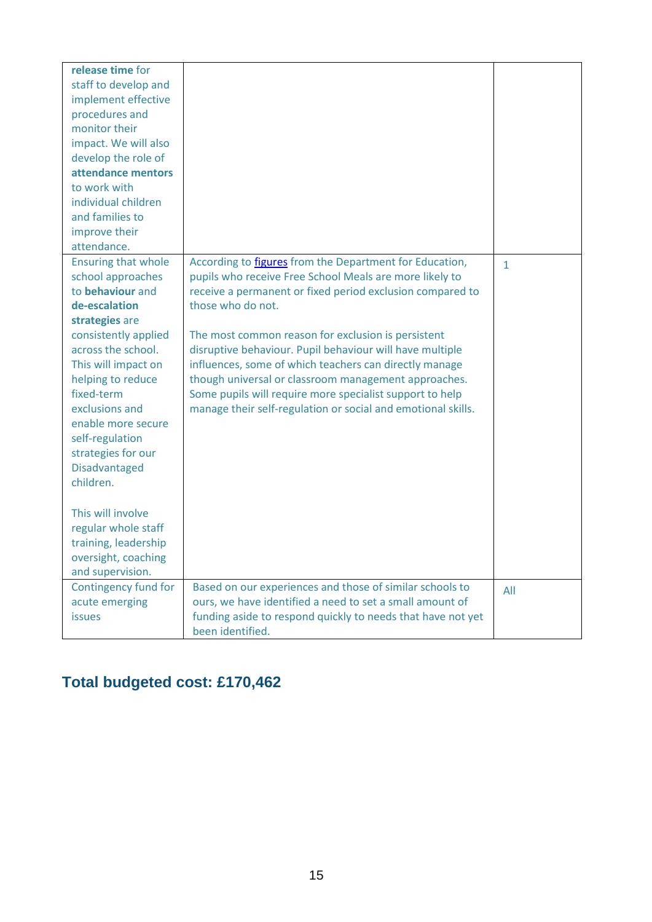| release time for<br>staff to develop and<br>implement effective<br>procedures and<br>monitor their<br>impact. We will also<br>develop the role of<br>attendance mentors<br>to work with<br>individual children<br>and families to                                                                                                                   |                                                                                                                                                                                                                                                                                                                                                                                                                                                                                                                                                                             |              |
|-----------------------------------------------------------------------------------------------------------------------------------------------------------------------------------------------------------------------------------------------------------------------------------------------------------------------------------------------------|-----------------------------------------------------------------------------------------------------------------------------------------------------------------------------------------------------------------------------------------------------------------------------------------------------------------------------------------------------------------------------------------------------------------------------------------------------------------------------------------------------------------------------------------------------------------------------|--------------|
| improve their                                                                                                                                                                                                                                                                                                                                       |                                                                                                                                                                                                                                                                                                                                                                                                                                                                                                                                                                             |              |
| attendance.<br><b>Ensuring that whole</b><br>school approaches<br>to behaviour and<br>de-escalation<br>strategies are<br>consistently applied<br>across the school.<br>This will impact on<br>helping to reduce<br>fixed-term<br>exclusions and<br>enable more secure<br>self-regulation<br>strategies for our<br><b>Disadvantaged</b><br>children. | According to <i>figures</i> from the Department for Education,<br>pupils who receive Free School Meals are more likely to<br>receive a permanent or fixed period exclusion compared to<br>those who do not.<br>The most common reason for exclusion is persistent<br>disruptive behaviour. Pupil behaviour will have multiple<br>influences, some of which teachers can directly manage<br>though universal or classroom management approaches.<br>Some pupils will require more specialist support to help<br>manage their self-regulation or social and emotional skills. | $\mathbf{1}$ |
| This will involve<br>regular whole staff<br>training, leadership<br>oversight, coaching<br>and supervision.                                                                                                                                                                                                                                         |                                                                                                                                                                                                                                                                                                                                                                                                                                                                                                                                                                             |              |
| Contingency fund for<br>acute emerging<br><b>issues</b>                                                                                                                                                                                                                                                                                             | Based on our experiences and those of similar schools to<br>ours, we have identified a need to set a small amount of<br>funding aside to respond quickly to needs that have not yet<br>been identified.                                                                                                                                                                                                                                                                                                                                                                     | All          |

# **Total budgeted cost: £170,462**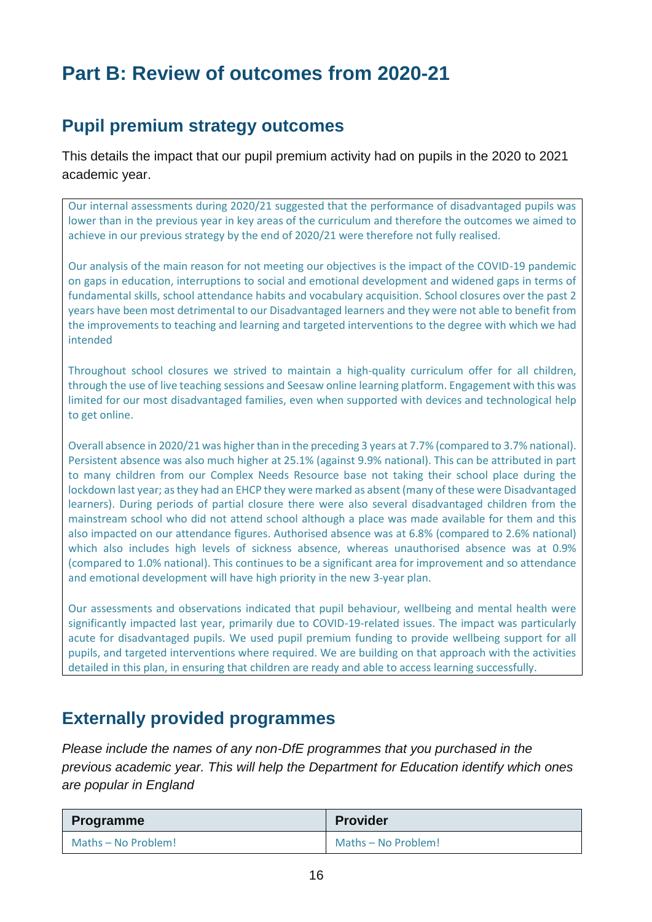# **Part B: Review of outcomes from 2020-21**

### **Pupil premium strategy outcomes**

This details the impact that our pupil premium activity had on pupils in the 2020 to 2021 academic year.

Our internal assessments during 2020/21 suggested that the performance of disadvantaged pupils was lower than in the previous year in key areas of the curriculum and therefore the outcomes we aimed to achieve in our previous strategy by the end of 2020/21 were therefore not fully realised.

Our analysis of the main reason for not meeting our objectives is the impact of the COVID-19 pandemic on gaps in education, interruptions to social and emotional development and widened gaps in terms of fundamental skills, school attendance habits and vocabulary acquisition. School closures over the past 2 years have been most detrimental to our Disadvantaged learners and they were not able to benefit from the improvements to teaching and learning and targeted interventions to the degree with which we had intended

Throughout school closures we strived to maintain a high-quality curriculum offer for all children, through the use of live teaching sessions and Seesaw online learning platform. Engagement with this was limited for our most disadvantaged families, even when supported with devices and technological help to get online.

Overall absence in 2020/21 was higher than in the preceding 3 years at 7.7% (compared to 3.7% national). Persistent absence was also much higher at 25.1% (against 9.9% national). This can be attributed in part to many children from our Complex Needs Resource base not taking their school place during the lockdown last year; as they had an EHCP they were marked as absent (many of these were Disadvantaged learners). During periods of partial closure there were also several disadvantaged children from the mainstream school who did not attend school although a place was made available for them and this also impacted on our attendance figures. Authorised absence was at 6.8% (compared to 2.6% national) which also includes high levels of sickness absence, whereas unauthorised absence was at 0.9% (compared to 1.0% national). This continues to be a significant area for improvement and so attendance and emotional development will have high priority in the new 3-year plan.

Our assessments and observations indicated that pupil behaviour, wellbeing and mental health were significantly impacted last year, primarily due to COVID-19-related issues. The impact was particularly acute for disadvantaged pupils. We used pupil premium funding to provide wellbeing support for all pupils, and targeted interventions where required. We are building on that approach with the activities detailed in this plan, in ensuring that children are ready and able to access learning successfully.

#### **Externally provided programmes**

*Please include the names of any non-DfE programmes that you purchased in the previous academic year. This will help the Department for Education identify which ones are popular in England*

| Programme           | <b>Provider</b>     |
|---------------------|---------------------|
| Maths - No Problem! | Maths - No Problem! |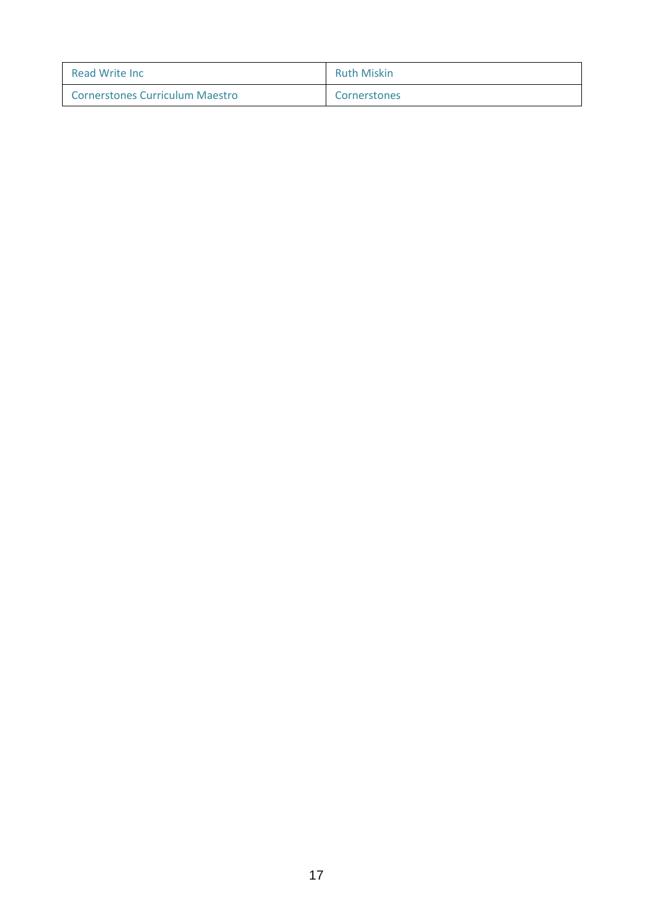| <b>Read Write Inc.</b>                 | <b>Ruth Miskin</b> |
|----------------------------------------|--------------------|
| <b>Cornerstones Curriculum Maestro</b> | Cornerstones       |